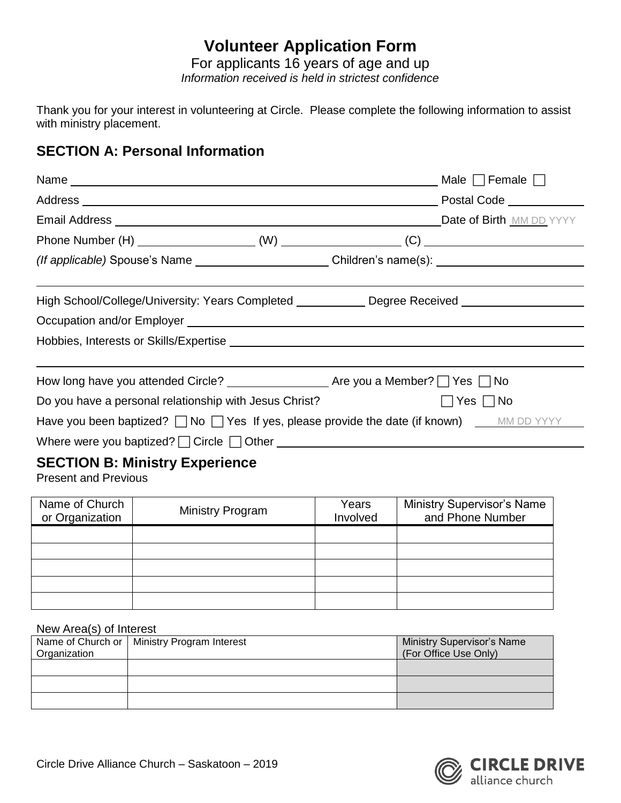# **Volunteer Application Form**

For applicants 16 years of age and up *Information received is held in strictest confidence*

Thank you for your interest in volunteering at Circle. Please complete the following information to assist with ministry placement.

# **SECTION A: Personal Information**

|                                                                      | _ Male $\Box$ Female $\Box$                                                                               |
|----------------------------------------------------------------------|-----------------------------------------------------------------------------------------------------------|
|                                                                      |                                                                                                           |
| <b>Email Address No. 2016 19:20 Address Date of Birth MM DD YYYY</b> |                                                                                                           |
|                                                                      |                                                                                                           |
|                                                                      | (If applicable) Spouse's Name ________________________Children's name(s): __________________________      |
|                                                                      |                                                                                                           |
|                                                                      | High School/College/University: Years Completed _____________ Degree Received _____________________       |
|                                                                      |                                                                                                           |
|                                                                      |                                                                                                           |
|                                                                      |                                                                                                           |
|                                                                      |                                                                                                           |
| Do you have a personal relationship with Jesus Christ?               | $\Box$ Yes $\Box$ No                                                                                      |
|                                                                      | Have you been baptized? $\Box$ No $\Box$ Yes If yes, please provide the date (if known) $\Box$ MM DD YYYY |
|                                                                      |                                                                                                           |
| <b>SECTION B: Ministry Experience</b>                                |                                                                                                           |

Present and Previous

| Name of Church<br>or Organization | <b>Ministry Program</b> | Years<br>Involved | <b>Ministry Supervisor's Name</b><br>and Phone Number |  |
|-----------------------------------|-------------------------|-------------------|-------------------------------------------------------|--|
|                                   |                         |                   |                                                       |  |
|                                   |                         |                   |                                                       |  |
|                                   |                         |                   |                                                       |  |
|                                   |                         |                   |                                                       |  |
|                                   |                         |                   |                                                       |  |

#### New Area(s) of Interest

| Organization | Name of Church or   Ministry Program Interest | <b>Ministry Supervisor's Name</b><br>(For Office Use Only) |
|--------------|-----------------------------------------------|------------------------------------------------------------|
|              |                                               |                                                            |
|              |                                               |                                                            |
|              |                                               |                                                            |

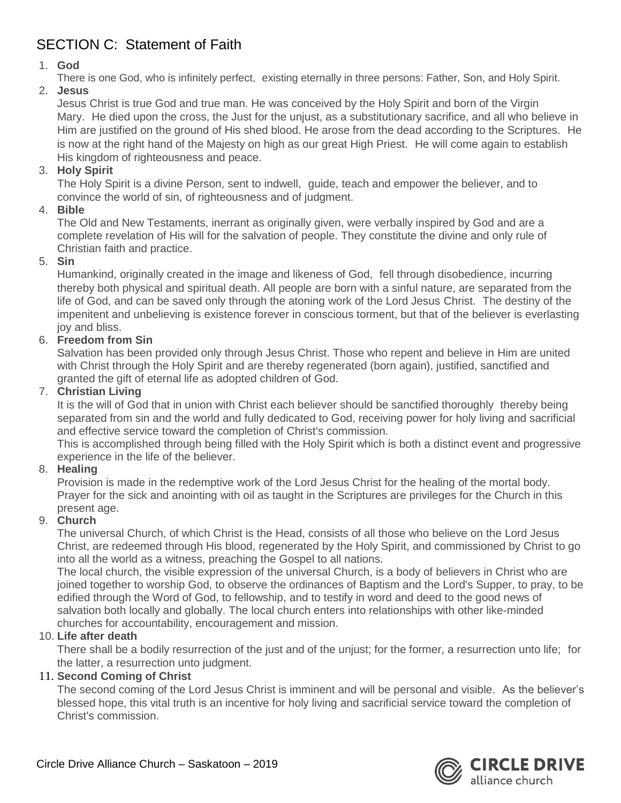# SECTION C: Statement of Faith

# 1. **God**

There is one God, who is infinitely perfect, existing eternally in three persons: Father, Son, and Holy Spirit.

# 2. **Jesus**

Jesus Christ is true God and true man. He was conceived by the Holy Spirit and born of the Virgin Mary. He died upon the cross, the Just for the unjust, as a substitutionary sacrifice, and all who believe in Him are justified on the ground of His shed blood. He arose from the dead according to the Scriptures. He is now at the right hand of the Majesty on high as our great High Priest. He will come again to establish His kingdom of righteousness and peace.

# 3. **Holy Spirit**

The Holy Spirit is a divine Person, sent to indwell, guide, teach and empower the believer, and to convince the world of sin, of righteousness and of judgment.

# 4. **Bible**

The Old and New Testaments, inerrant as originally given, were verbally inspired by God and are a complete revelation of His will for the salvation of people. They constitute the divine and only rule of Christian faith and practice.

#### 5. **Sin**

Humankind, originally created in the image and likeness of God, fell through disobedience, incurring thereby both physical and spiritual death. All people are born with a sinful nature, are separated from the life of God, and can be saved only through the atoning work of the Lord Jesus Christ. The destiny of the impenitent and unbelieving is existence forever in conscious torment, but that of the believer is everlasting joy and bliss.

# 6. **Freedom from Sin**

Salvation has been provided only through Jesus Christ. Those who repent and believe in Him are united with Christ through the Holy Spirit and are thereby regenerated (born again), justified, sanctified and granted the gift of eternal life as adopted children of God.

#### 7. **Christian Living**

It is the will of God that in union with Christ each believer should be sanctified thoroughly thereby being separated from sin and the world and fully dedicated to God, receiving power for holy living and sacrificial and effective service toward the completion of Christ's commission.

This is accomplished through being filled with the Holy Spirit which is both a distinct event and progressive experience in the life of the believer.

# 8. **Healing**

Provision is made in the redemptive work of the Lord Jesus Christ for the healing of the mortal body. Prayer for the sick and anointing with oil as taught in the Scriptures are privileges for the Church in this present age.

# 9. **Church**

The universal Church, of which Christ is the Head, consists of all those who believe on the Lord Jesus Christ, are redeemed through His blood, regenerated by the Holy Spirit, and commissioned by Christ to go into all the world as a witness, preaching the Gospel to all nations.

The local church, the visible expression of the universal Church, is a body of believers in Christ who are joined together to worship God, to observe the ordinances of Baptism and the Lord's Supper, to pray, to be edified through the Word of God, to fellowship, and to testify in word and deed to the good news of salvation both locally and globally. The local church enters into relationships with other like-minded churches for accountability, encouragement and mission.

# 10. **Life after death**

There shall be a bodily resurrection of the just and of the unjust; for the former, a resurrection unto life; for the latter, a resurrection unto judgment.

# 11. **Second Coming of Christ**

The second coming of the Lord Jesus Christ is imminent and will be personal and visible. As the believer's blessed hope, this vital truth is an incentive for holy living and sacrificial service toward the completion of Christ's commission.

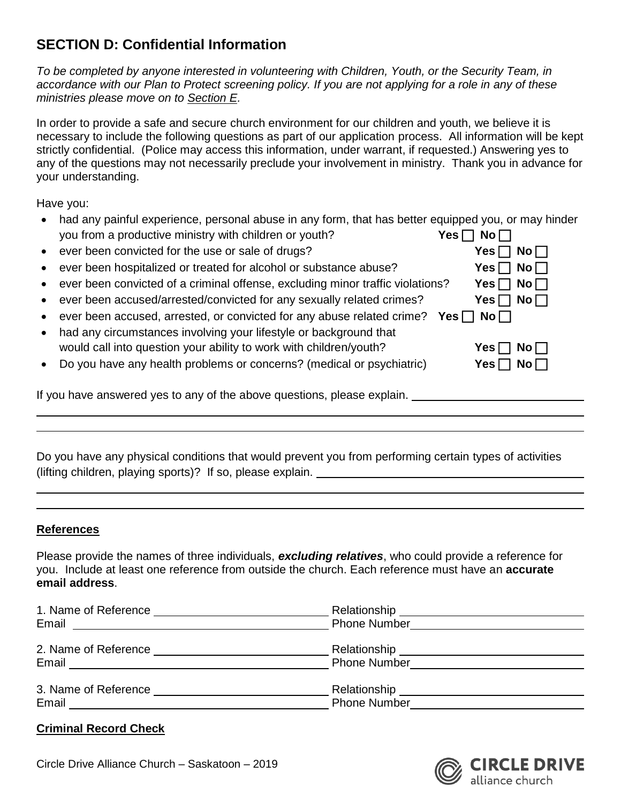# **SECTION D: Confidential Information**

*To be completed by anyone interested in volunteering with Children, Youth, or the Security Team, in accordance with our Plan to Protect screening policy. If you are not applying for a role in any of these ministries please move on to Section E.*

In order to provide a safe and secure church environment for our children and youth, we believe it is necessary to include the following questions as part of our application process. All information will be kept strictly confidential. (Police may access this information, under warrant, if requested.) Answering yes to any of the questions may not necessarily preclude your involvement in ministry. Thank you in advance for your understanding.

Have you:

- had any painful experience, personal abuse in any form, that has better equipped you, or may hinder<br>vou from a productive ministry with children or youth?<br> $\blacksquare$ you from a productive ministry with children or youth?
- **•** ever been convicted for the use or sale of drugs?
- **•** ever been hospitalized or treated for alcohol or substance abuse?
- **•** ever been convicted of a criminal offense, excluding minor traffic violations?
- **e** ever been accused/arrested/convicted for any sexually related crimes?
- ever been accused, arrested, or convicted for any abuse related crime? Yes
- had any circumstances involving your lifestyle or background that would call into question your ability to work with children/youth?
- **•** Do you have any health problems or concerns? (medical or psychiatric)

If you have answered yes to any of the above questions, please explain.

Do you have any physical conditions that would prevent you from performing certain types of activities (lifting children, playing sports)? If so, please explain.

#### **References**

Please provide the names of three individuals, *excluding relatives*, who could provide a reference for you. Include at least one reference from outside the church. Each reference must have an **accurate email address**.

| 1. Name of Reference<br><u> 1980 - Andrea Aontaithe ann an t-</u><br>Email<br><u> 1980 - Jan Sterling von Berling von Berling von Berling von Berling von Berling von Berling von Berling von B</u> | <b>Phone Number</b>                                    |  |
|-----------------------------------------------------------------------------------------------------------------------------------------------------------------------------------------------------|--------------------------------------------------------|--|
| Email                                                                                                                                                                                               |                                                        |  |
| Email                                                                                                                                                                                               | Relationship __________________<br><b>Phone Number</b> |  |

# **Criminal Record Check**



| 5 I I<br>NO II                        |
|---------------------------------------|
| Yes $\Box$<br>$\mathsf{No}\,\Box$     |
| $\mathsf{No}\,\Box$<br>Yes $\Box$     |
| Yes $\Box$<br>$\mathsf{No}\,\Box$     |
| $\mathsf{No}\,\Box$<br>Yes $\Box$     |
| $\mathsf{s} \,\square\,$ No $\square$ |
|                                       |
| Yes $\Box$<br>$\mathsf{No}\,\Box$     |
| Yes $\Box$<br>$\mathsf{No}\,\Box$     |